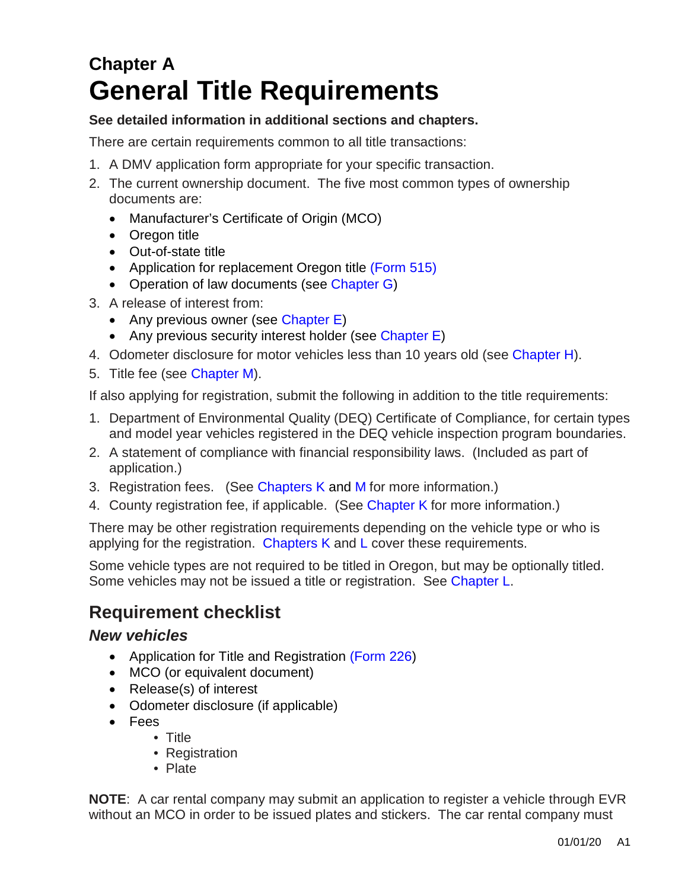# **Chapter A General Title Requirements**

#### **See detailed information in additional sections and chapters.**

There are certain requirements common to all title transactions:

- 1. A DMV application form appropriate for your specific transaction.
- 2. The current ownership document. The five most common types of ownership documents are:
	- Manufacturer's Certificate of Origin (MCO)
	- Oregon title
	- Out-of-state title
	- Application for replacement Oregon title [\(Form 515\)](https://www.odot.state.or.us/forms/dmv/515fill.pdf)
	- Operation of law documents (see [Chapter G\)](https://www.oregon.gov/ODOT/DMV/docs/VTRH/Chapter_G.pdf)
- 3. A release of interest from:
	- Any previous owner (see [Chapter E\)](https://www.oregon.gov/ODOT/DMV/docs/VTRH/Chapter_E.pdf)
	- Any previous security interest holder (see [Chapter E\)](https://www.oregon.gov/ODOT/DMV/docs/VTRH/Chapter_E.pdf)
- 4. Odometer disclosure for motor vehicles less than 10 years old (see [Chapter H\)](https://www.oregon.gov/ODOT/DMV/docs/VTRH/Chapter_H.pdf).
- 5. Title fee (see [Chapter M\)](https://www.oregon.gov/ODOT/DMV/docs/VTRH/Chapter_M.pdf).

If also applying for registration, submit the following in addition to the title requirements:

- 1. Department of Environmental Quality (DEQ) Certificate of Compliance, for certain types and model year vehicles registered in the DEQ vehicle inspection program boundaries.
- 2. A statement of compliance with financial responsibility laws. (Included as part of application.)
- 3. Registration fees. (See [Chapters K](https://www.oregon.gov/ODOT/DMV/docs/VTRH/Chapter_K.pdf) and [M](https://www.oregon.gov/ODOT/DMV/docs/VTRH/Chapter_M.pdf) for more information.)
- 4. County registration fee, if applicable. (See [Chapter K](https://www.oregon.gov/ODOT/DMV/docs/VTRH/Chapter_K.pdf) for more information.)

There may be other registration requirements depending on the vehicle type or who is applying for the registration. [Chapters K](https://www.oregon.gov/ODOT/DMV/docs/VTRH/Chapter_K.pdf) and [L](https://www.oregon.gov/ODOT/DMV/docs/VTRH/Chapter_L.pdf) cover these requirements.

Some vehicle types are not required to be titled in Oregon, but may be optionally titled. Some vehicles may not be issued a title or registration. See [Chapter L.](https://www.oregon.gov/ODOT/DMV/docs/VTRH/Chapter_L.pdf)

## **Requirement checklist**

#### *New vehicles*

- Application for Title and Registration [\(Form 226](https://www.odot.state.or.us/forms/dmv/226fill.pdf)[\)](http://www.odot.state.or.us/forms/dmv/226fill.pdf)
- MCO (or equivalent document)
- Release(s) of interest
- Odometer disclosure (if applicable)
- Fees
	- Title
		- Registration
		- Plate

**NOTE**: A car rental company may submit an application to register a vehicle through EVR without an MCO in order to be issued plates and stickers. The car rental company must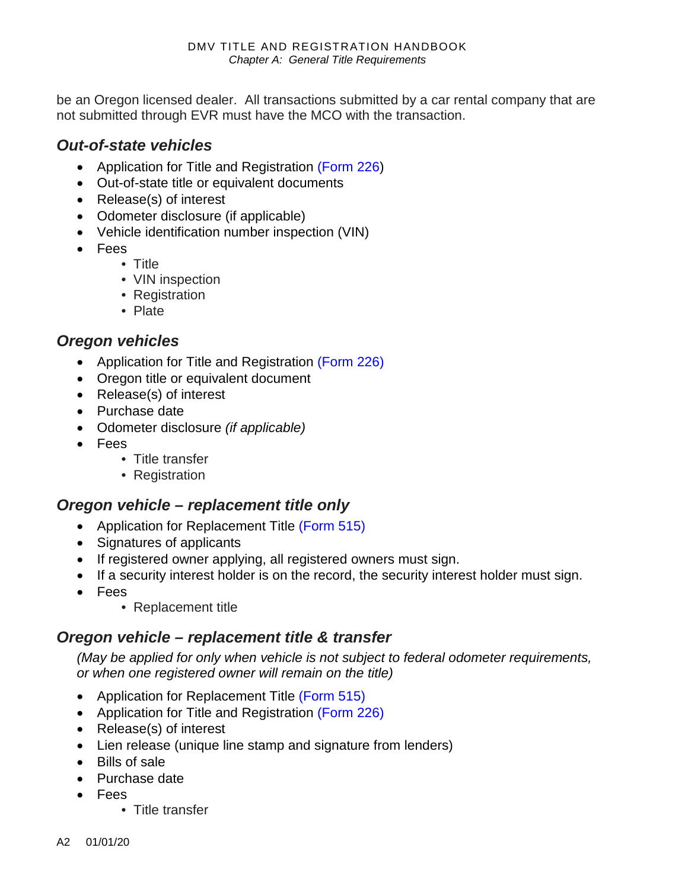be an Oregon licensed dealer. All transactions submitted by a car rental company that are not submitted through EVR must have the MCO with the transaction.

#### *Out-of-state vehicles*

- Application for Title and Registration [\(Form 226\)](https://www.odot.state.or.us/forms/dmv/226fill.pdf)
- Out-of-state title or equivalent documents
- Release(s) of interest
- Odometer disclosure (if applicable)
- Vehicle identification number inspection (VIN)
- Fees
	- Title
	- VIN inspection
	- Registration
	- Plate

#### *Oregon vehicles*

- Application for Title and Registration (Form 226)
- Oregon title or equivalent document
- Release(s) of interest
- Purchase date
- Odometer disclosure *(if applicable)*
- Fees
	- Title transfer
	- Registration

#### *Oregon vehicle – replacement title only*

- Application for Replacement Title (Form 515)
- Signatures of applicants
- If registered owner applying, all registered owners must sign.
- If a security interest holder is on the record, the security interest holder must sign.
- Fees
	- Replacement title

#### *Oregon vehicle – replacement title & transfer*

*(May be applied for only when vehicle is not subject to federal odometer requirements, or when one registered owner will remain on the title)* 

- Application for Replacement Title [\(Form 515\)](https://www.odot.state.or.us/forms/dmv/515fill.pdf)
- Application for Title and Registration [\(Form 226\)](https://www.odot.state.or.us/forms/dmv/226fill.pdf)
- Release(s) of interest
- Lien release (unique line stamp and signature from lenders)
- Bills of sale
- Purchase date
- Fees
	- Title transfer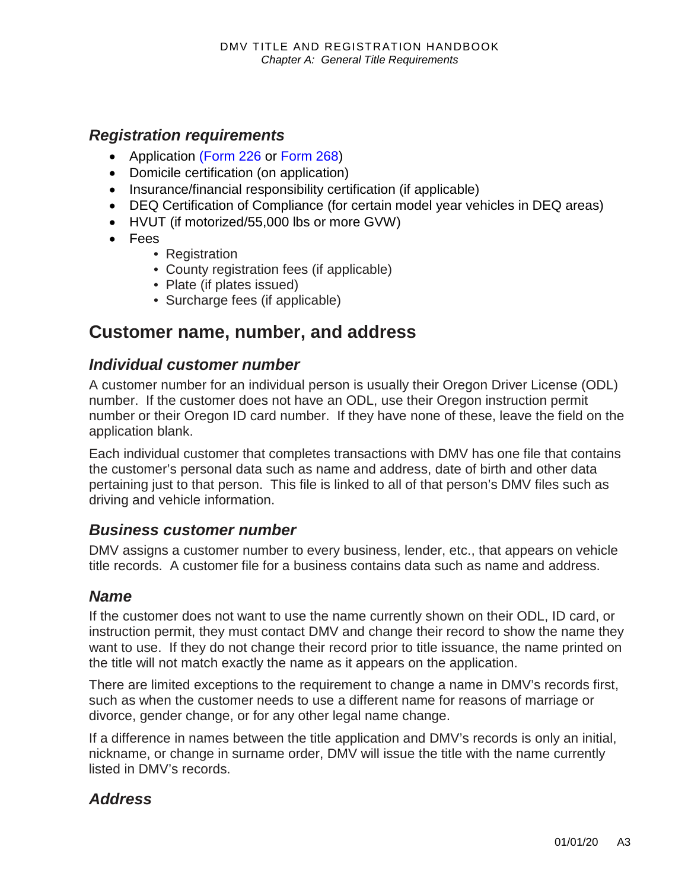#### *Registration requirements*

- Application [\(Form 226](https://www.odot.state.or.us/forms/dmv/226fill.pdf) or [Form 268\)](https://www.odot.state.or.us/forms/dmv/268fill.pdf)
- Domicile certification (on application)
- Insurance/financial responsibility certification (if applicable)
- DEQ Certification of Compliance (for certain model year vehicles in DEQ areas)
- HVUT (if motorized/55,000 lbs or more GVW)
- Fees
	- Registration
	- County registration fees (if applicable)
	- Plate (if plates issued)
	- Surcharge fees (if applicable)

## **Customer name, number, and address**

#### *Individual customer number*

A customer number for an individual person is usually their Oregon Driver License (ODL) number. If the customer does not have an ODL, use their Oregon instruction permit number or their Oregon ID card number. If they have none of these, leave the field on the application blank.

Each individual customer that completes transactions with DMV has one file that contains the customer's personal data such as name and address, date of birth and other data pertaining just to that person. This file is linked to all of that person's DMV files such as driving and vehicle information.

#### *Business customer number*

DMV assigns a customer number to every business, lender, etc., that appears on vehicle title records. A customer file for a business contains data such as name and address.

#### *Name*

If the customer does not want to use the name currently shown on their ODL, ID card, or instruction permit, they must contact DMV and change their record to show the name they want to use. If they do not change their record prior to title issuance, the name printed on the title will not match exactly the name as it appears on the application.

There are limited exceptions to the requirement to change a name in DMV's records first, such as when the customer needs to use a different name for reasons of marriage or divorce, gender change, or for any other legal name change.

If a difference in names between the title application and DMV's records is only an initial, nickname, or change in surname order, DMV will issue the title with the name currently listed in DMV's records.

#### *Address*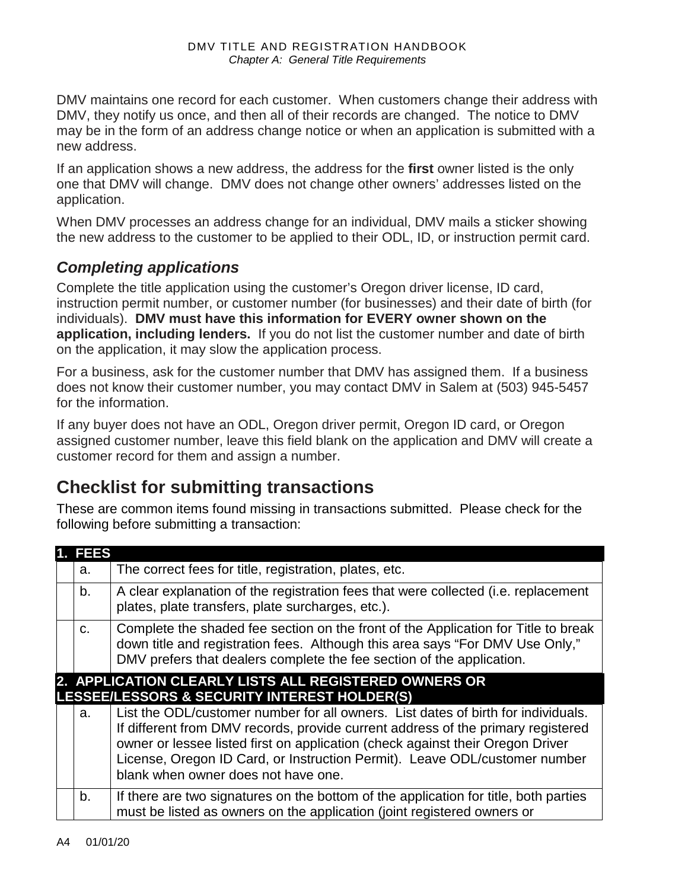DMV maintains one record for each customer. When customers change their address with DMV, they notify us once, and then all of their records are changed. The notice to DMV may be in the form of an address change notice or when an application is submitted with a new address.

If an application shows a new address, the address for the **first** owner listed is the only one that DMV will change. DMV does not change other owners' addresses listed on the application.

When DMV processes an address change for an individual, DMV mails a sticker showing the new address to the customer to be applied to their ODL, ID, or instruction permit card.

### *Completing applications*

Complete the title application using the customer's Oregon driver license, ID card, instruction permit number, or customer number (for businesses) and their date of birth (for individuals). **DMV must have this information for EVERY owner shown on the application, including lenders.** If you do not list the customer number and date of birth on the application, it may slow the application process.

For a business, ask for the customer number that DMV has assigned them. If a business does not know their customer number, you may contact DMV in Salem at (503) 945-5457 for the information.

If any buyer does not have an ODL, Oregon driver permit, Oregon ID card, or Oregon assigned customer number, leave this field blank on the application and DMV will create a customer record for them and assign a number.

# **Checklist for submitting transactions**

These are common items found missing in transactions submitted. Please check for the following before submitting a transaction:

|                                                       | 1. FEES |                                                                                                                                                                                                                                                                                                                                                                              |  |  |
|-------------------------------------------------------|---------|------------------------------------------------------------------------------------------------------------------------------------------------------------------------------------------------------------------------------------------------------------------------------------------------------------------------------------------------------------------------------|--|--|
|                                                       | а.      | The correct fees for title, registration, plates, etc.                                                                                                                                                                                                                                                                                                                       |  |  |
|                                                       | b.      | A clear explanation of the registration fees that were collected (i.e. replacement<br>plates, plate transfers, plate surcharges, etc.).                                                                                                                                                                                                                                      |  |  |
|                                                       | C.      | Complete the shaded fee section on the front of the Application for Title to break<br>down title and registration fees. Although this area says "For DMV Use Only,"<br>DMV prefers that dealers complete the fee section of the application.                                                                                                                                 |  |  |
| 2. APPLICATION CLEARLY LISTS ALL REGISTERED OWNERS OR |         |                                                                                                                                                                                                                                                                                                                                                                              |  |  |
| LESSEE/LESSORS & SECURITY INTEREST HOLDER(S)          |         |                                                                                                                                                                                                                                                                                                                                                                              |  |  |
|                                                       | a.      | List the ODL/customer number for all owners. List dates of birth for individuals.<br>If different from DMV records, provide current address of the primary registered<br>owner or lessee listed first on application (check against their Oregon Driver<br>License, Oregon ID Card, or Instruction Permit). Leave ODL/customer number<br>blank when owner does not have one. |  |  |
|                                                       | b.      | If there are two signatures on the bottom of the application for title, both parties<br>must be listed as owners on the application (joint registered owners or                                                                                                                                                                                                              |  |  |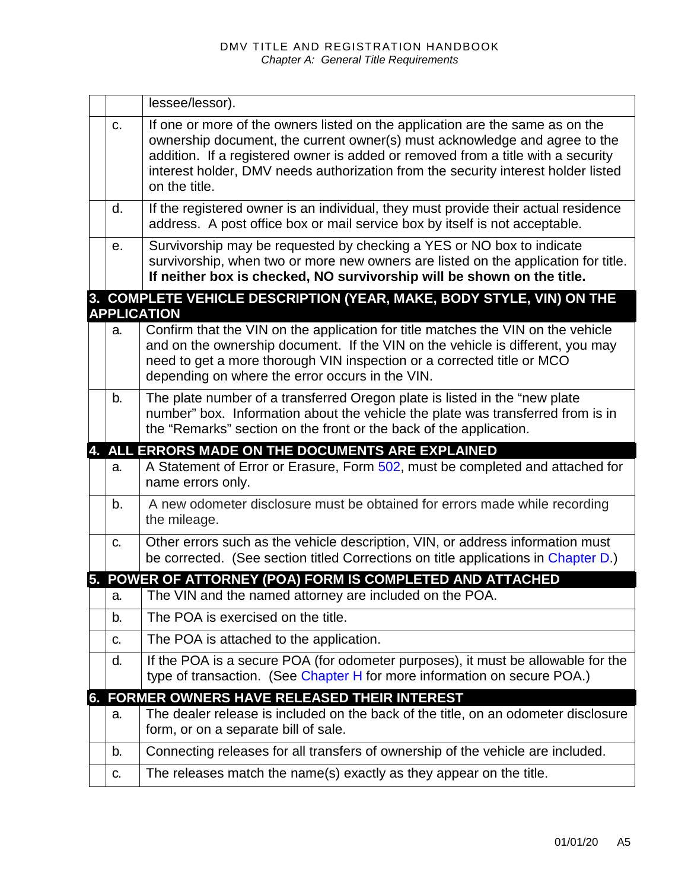|    | lessee/lessor).                                                                                                                                                                                                                                                                                                                                       |
|----|-------------------------------------------------------------------------------------------------------------------------------------------------------------------------------------------------------------------------------------------------------------------------------------------------------------------------------------------------------|
| C. | If one or more of the owners listed on the application are the same as on the<br>ownership document, the current owner(s) must acknowledge and agree to the<br>addition. If a registered owner is added or removed from a title with a security<br>interest holder, DMV needs authorization from the security interest holder listed<br>on the title. |
| d. | If the registered owner is an individual, they must provide their actual residence<br>address. A post office box or mail service box by itself is not acceptable.                                                                                                                                                                                     |
| е. | Survivorship may be requested by checking a YES or NO box to indicate<br>survivorship, when two or more new owners are listed on the application for title.<br>If neither box is checked, NO survivorship will be shown on the title.                                                                                                                 |
|    | 3. COMPLETE VEHICLE DESCRIPTION (YEAR, MAKE, BODY STYLE, VIN) ON THE<br><b>APPLICATION</b>                                                                                                                                                                                                                                                            |
| a. | Confirm that the VIN on the application for title matches the VIN on the vehicle<br>and on the ownership document. If the VIN on the vehicle is different, you may<br>need to get a more thorough VIN inspection or a corrected title or MCO<br>depending on where the error occurs in the VIN.                                                       |
| b. | The plate number of a transferred Oregon plate is listed in the "new plate<br>number" box. Information about the vehicle the plate was transferred from is in<br>the "Remarks" section on the front or the back of the application.                                                                                                                   |
|    |                                                                                                                                                                                                                                                                                                                                                       |
|    | 4. ALL ERRORS MADE ON THE DOCUMENTS ARE EXPLAINED                                                                                                                                                                                                                                                                                                     |
| a. | A Statement of Error or Erasure, Form 502, must be completed and attached for<br>name errors only.                                                                                                                                                                                                                                                    |
| b. | A new odometer disclosure must be obtained for errors made while recording<br>the mileage.                                                                                                                                                                                                                                                            |
| C. | Other errors such as the vehicle description, VIN, or address information must<br>be corrected. (See section titled Corrections on title applications in Chapter D.)                                                                                                                                                                                  |
|    | 5. POWER OF ATTORNEY (POA) FORM IS COMPLETED AND ATTACHED                                                                                                                                                                                                                                                                                             |
| а. | The VIN and the named attorney are included on the POA.                                                                                                                                                                                                                                                                                               |
| b. | The POA is exercised on the title.                                                                                                                                                                                                                                                                                                                    |
| C. | The POA is attached to the application.                                                                                                                                                                                                                                                                                                               |
| d. | If the POA is a secure POA (for odometer purposes), it must be allowable for the<br>type of transaction. (See Chapter H for more information on secure POA.)                                                                                                                                                                                          |
|    | 6. FORMER OWNERS HAVE RELEASED THEIR INTEREST                                                                                                                                                                                                                                                                                                         |
| a. | The dealer release is included on the back of the title, on an odometer disclosure<br>form, or on a separate bill of sale.                                                                                                                                                                                                                            |
| b. | Connecting releases for all transfers of ownership of the vehicle are included.                                                                                                                                                                                                                                                                       |